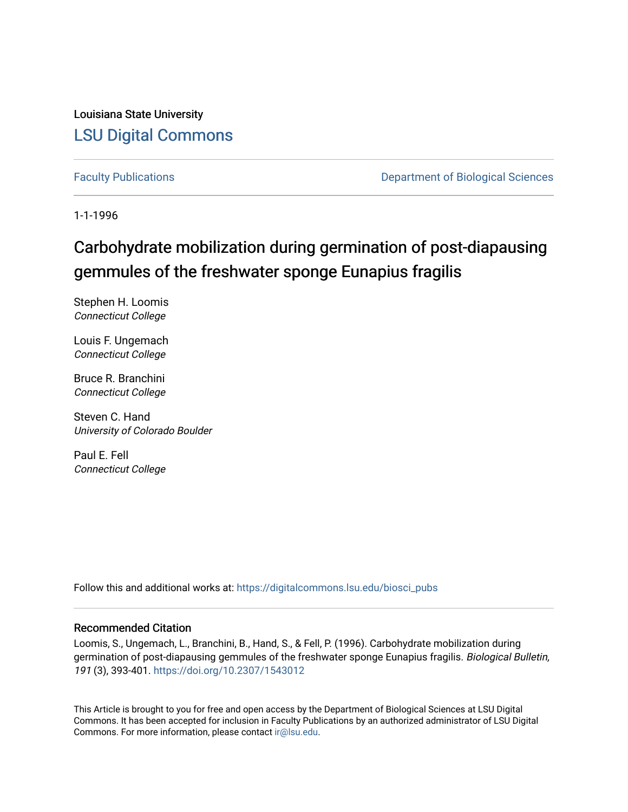Louisiana State University [LSU Digital Commons](https://digitalcommons.lsu.edu/)

[Faculty Publications](https://digitalcommons.lsu.edu/biosci_pubs) **Exercise 2 and Table 2 and Table 2 and Table 2 and Table 2 and Table 2 and Table 2 and Table 2 and Table 2 and Table 2 and Table 2 and Table 2 and Table 2 and Table 2 and Table 2 and Table 2 and Table** 

1-1-1996

# Carbohydrate mobilization during germination of post-diapausing gemmules of the freshwater sponge Eunapius fragilis

Stephen H. Loomis Connecticut College

Louis F. Ungemach Connecticut College

Bruce R. Branchini Connecticut College

Steven C. Hand University of Colorado Boulder

Paul E. Fell Connecticut College

Follow this and additional works at: [https://digitalcommons.lsu.edu/biosci\\_pubs](https://digitalcommons.lsu.edu/biosci_pubs?utm_source=digitalcommons.lsu.edu%2Fbiosci_pubs%2F1483&utm_medium=PDF&utm_campaign=PDFCoverPages)

## Recommended Citation

Loomis, S., Ungemach, L., Branchini, B., Hand, S., & Fell, P. (1996). Carbohydrate mobilization during germination of post-diapausing gemmules of the freshwater sponge Eunapius fragilis. Biological Bulletin, 191 (3), 393-401. <https://doi.org/10.2307/1543012>

This Article is brought to you for free and open access by the Department of Biological Sciences at LSU Digital Commons. It has been accepted for inclusion in Faculty Publications by an authorized administrator of LSU Digital Commons. For more information, please contact [ir@lsu.edu](mailto:ir@lsu.edu).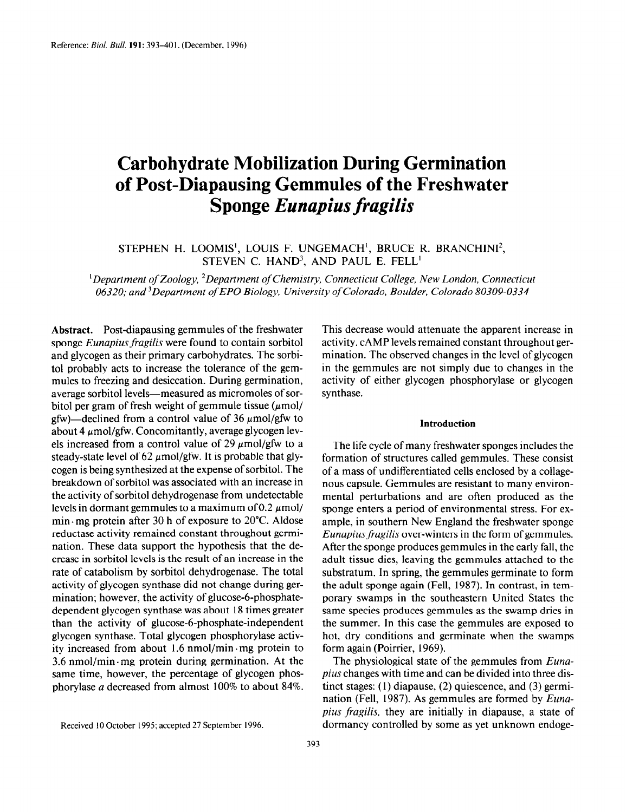## Carbohydrate Mobilization During Germination of Post-Diapausing Gemmules of the Freshwater Sponge Eunapius fragilis

STEPHEN H. LOOMIS', LOUIS F. UNGEMACH', BRUCE R. BRANCHINI', STEVEN C. HAND<sup>3</sup>, AND PAUL E. FELL<sup>1</sup>

<sup>1</sup>Department of Zoology, <sup>2</sup>Department of Chemistry, Connecticut College, New London, Connecticut 06320; and 3Department ofEP0 Biology, University of Colorado, Boulder, Colorado 80309-0334

Abstract. Post-diapausing gemmules of the freshwater sponge Eunapius fragilis were found to contain sorbitol and glycogen as their primary carbohydrates. The sorbito1 probably acts to increase the tolerance of the gemmules to freezing and desiccation. During germination, average sorbitol levels-measured as micromoles of sorbitol per gram of fresh weight of gemmule tissue  $(\mu \text{mol})$ gfw)—declined from a control value of 36  $\mu$ mol/gfw to about 4  $\mu$ mol/gfw. Concomitantly, average glycogen levels increased from a control value of 29  $\mu$ mol/gfw to a steady-state level of 62  $\mu$ mol/gfw. It is probable that glycogen is being synthesized at the expense of sorbitol. The breakdown of sorbitol was associated with an increase in the activity of sorbitol dehydrogenase from undetectable levels in dormant gemmules to a maximum of 0.2  $\mu$ mol/ min.mg protein after 30 h of exposure to 20°C. Aldose reductase activity remained constant throughout germination. These data support the hypothesis that the decrease in sorbitol levels is the result of an increase in the rate of catabolism by sorbitol dehydrogenase. The total activity of glycogen synthase did not change during germination; however, the activity of glucose-6-phosphate $d_{\text{intraation}}$ , nowever, the activity of gracese  $\sigma$  phosphate the activity of glucose-beam the activity of the activity of the control of the control of the independent of the control of the control of the control of the control of the control of the control of the control of the con than the activity of glucose-6-phosphate-independent glycogen synthase. Total glycogen phosphorylase activ- $\mu$ ity increased from a protein to  $\mu$ <sub>i</sub>  $\mu$  . The protein to  $\mu$ as mercased from about 1.0 minor/min. mg protein to  $3.6$  nmol/min mg protein during germination. At the same time, however, the percentage of glycogen phosphorylase  $a$  decreased from almost 100% to about 84%.

This decrease would attenuate the apparent increase in activity. CAMP levels remained constant throughout germination. The observed changes in the level of glycogen in the gemmules are not simply due to changes in the activity of either glycogen phosphorylase or glycogen synthase.

## Introduction

The life cycle of many freshwater sponges includes the formation of structures called gemmules. These consist of a mass of undifferentiated cells enclosed by a collagenous capsule. Gemmules are resistant to many environmental perturbations and are often produced as the sponge enters a period of environmental stress. For example, in southern New England the freshwater sponge Eunapius fragilis over-winters in the form of gemmules. After the sponge produces gemmules in the early fall, the adult tissue dies, leaving the gemmules attached to the substratum. In spring, the gemmules germinate to form the adult sponge again (Fell, 1987). In contrast, in temporary swamps in the southeastern United States the polary swamps in the southeastern United States the same species produces gemmules as the swamp uries in the summer. In this case the gemmules are exposed to hot, dry conditions and germinate when the swamps form again (Poirrier, 1969).  $T_{\text{min}}$  again (FOIFICI, 1909).

private changes with the dividend into the dividend into the dispius changes with time and can be divided into three distinct stages:  $(1)$  diapause,  $(2)$  quiescence, and  $(3)$  germination (Fell, 1987). As gemmules are formed by  $Euna$ pius fragilis, they are initially in diapause, a state of dormancy controlled by some as yet unknown endoge-

Received 10 October 1995; accepted 27 September 1996.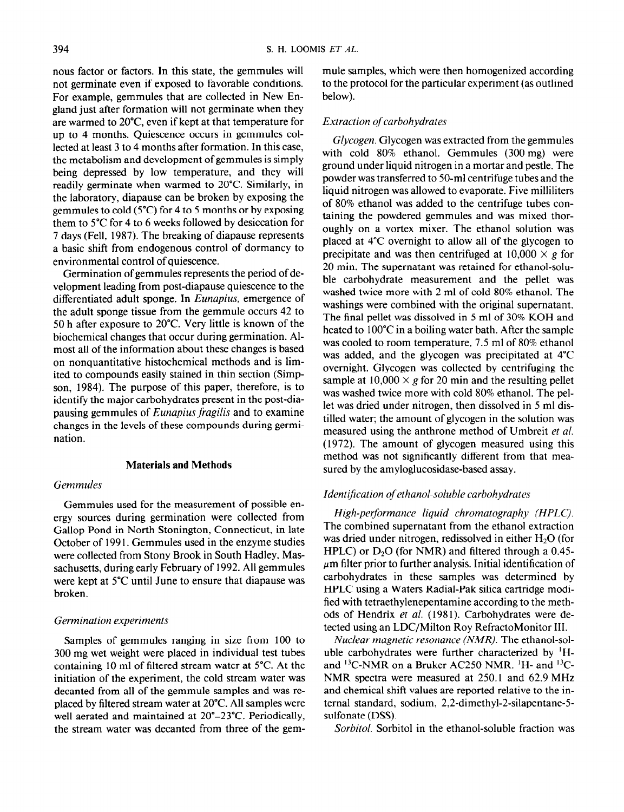nous factor or factors. In this state, the gemmules will not germinate even if exposed to favorable conditions. For example, gemmules that are collected in New England just after formation will not germinate when they are warmed to 20°C even if kept at that temperature for up to 4 months. Quiescence occurs in gemmules collected at least 3 to 4 months after formation. In this case, the metabolism and development of gemmules is simply being depressed by low temperature, and they will readily germinate when warmed to 20°C. Similarly, in the laboratory, diapause can be broken by exposing the gemmules to cold (5°C) for 4 to 5 months or by exposing them to 5°C for 4 to 6 weeks followed by desiccation for 7 days (Fell, 1987). The breaking of diapause represents a basic shift from endogenous control of dormancy to environmental control of quiescence.

Germination of gemmules represents the period of development leading from post-diapause quiescence to the differentiated adult sponge. In Eunapius, emergence of the adult sponge tissue from the gemmule occurs 42 to 50 h after exposure to 20°C. Very little is known of the biochemical changes that occur during germination. Almost all of the information about these changes is based on nonquantitative histochemical methods and is limited to compounds easily stained in thin section (Simpson, 1984). The purpose of this paper, therefore, is to identify the major carbohydrates present in the post-diapausing gemmules of Eunapius fragilis and to examine changes in the levels of these compounds during germination.

#### Materials and Methods

## Gemmules

Gemmules used for the measurement of possible energy sources during germination were collected from Gallop Pond in North Stonington, Connecticut, in late October of 199 1. Gemmules used in the enzyme studies were collected from Stony Brook in South Hadley, Massachusetts, during early February of 1992. All gemmules were kept at 5°C until June to ensure that diapause was broken.

## Germination experiments

Samples of gemmules ranging in size from 100 to 300 mg wet weight were placed in individual test tubes containing 10 ml of filtered stream water at 5°C. At the initiation of the experiment, the cold stream water was decanted from all of the gemmule samples and was reproduced from an or the general samples and was replaced by intered stream water at 20" $\sim$ . An samples we well aerated and maintained at  $20^{\circ}$ – $23^{\circ}$ C. Periodically, the stream water was decanted from three of the gemmule samples, which were then homogenized according to the protocol for the particular experiment (as outlined below).

## Extraction of carbohydrates

Glycogen. Glycogen was extracted from the gemmules with cold 80% ethanol. Gemmules (300 mg) were ground under liquid nitrogen in a mortar and pestle. The powder was transferred to 50-ml centrifuge tubes and the liquid nitrogen was allowed to evaporate. Five milliliters of 80% ethanol was added to the centrifuge tubes containing the powdered gemmules and was mixed thoroughly on a vortex mixer. The ethanol solution was placed at 4°C overnight to allow all of the glycogen to precipitate and was then centrifuged at  $10,000 \times g$  for 20 min. The supernatant was retained for ethanol-soluble carbohydrate measurement and the pellet was washed twice more with 2 ml of cold 80% ethanol. The washings were combined with the original supernatant. The final pellet was dissolved in 5 ml of 30% KOH and heated to 100°C in a boiling water bath. After the sample was cooled to room temperature, 7.5 ml of 80% ethanol was added, and the glycogen was precipitated at 4°C overnight. Glycogen was collected by centrifuging the sample at  $10,000 \times g$  for 20 min and the resulting pellet was washed twice more with cold 80% ethanol. The pellet was dried under nitrogen, then dissolved in 5 ml distilled water; the amount of glycogen in the solution was measured using the anthrone method of Umbreit et a/. (1972). The amount of glycogen measured using this method was not significantly different from that measured by the amyloglucosidase-based assay.

## Identification of ethanol-soluble carbohydrates

High-performance liquid chromatography (HPLC). The combined supernatant from the ethanol extraction was dried under nitrogen, redissolved in either  $H<sub>2</sub>O$  (for HPLC) or  $D_2O$  (for NMR) and filtered through a 0.45- $\mu$ m filter prior to further analysis. Initial identification of carbohydrates in these samples was determined by HPLC using a Waters Radial-Pak silica cartridge modified with tetraethylenepentamine according to the methods of Hendrix et al. (1981). Carbohydrates were detected using an LDC/Milton Roy RefractoMonitor III.

Nuclear magnetic resonance (NMR). The ethanol-soluble carbohydrates were further characterized by 'Hand 13C-NMR on a Bruker AC250 NMR. 'H- and "C-NMR spectra were measured at 250.1 and 62.9 MHz and chemical shift values are reported relative to the inand chemical state values are reported relative to the  $\frac{1}{2}$  $\frac{1}{2}$  $\frac{1}{2}$  $\frac{1}{2}$  $\frac{1}{2}$  $\frac{1}{2}$  $\frac{1}{2}$  $\frac{1}{2}$  $\frac{1}{2}$  $\frac{1}{2}$ sulfonate (DSS).<br>Sorbitol. Sorbitol in the ethanol-soluble fraction was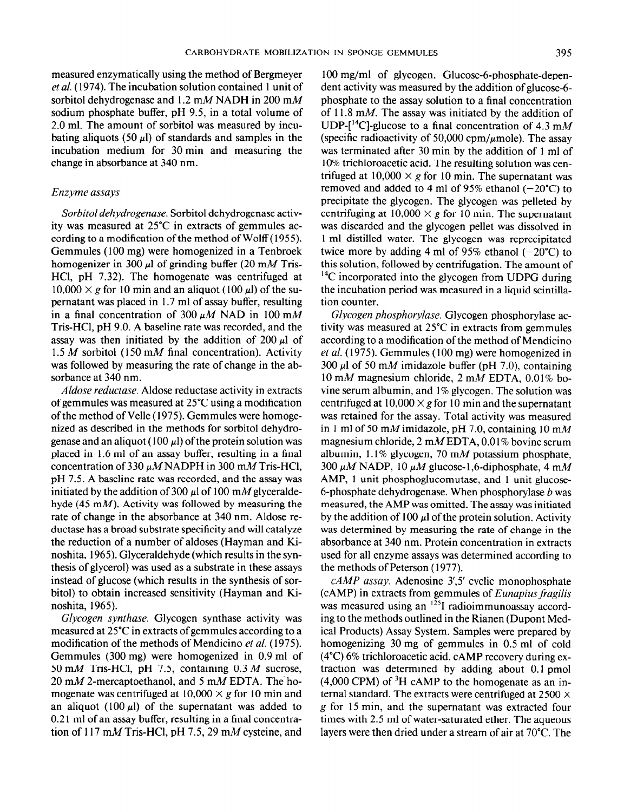measured enzymatically using the method of Bergmeyer et al. ( 1974). The incubation solution contained 1 unit of sorbitol dehydrogenase and 1.2 mM NADH in 200 mM sodium phosphate buffer, pH 9.5, in a total volume of 2.0 ml. The amount of sorbitol was measured by incubating aliquots (50  $\mu$ ) of standards and samples in the incubation medium for 30 min and measuring the change in absorbance at 340 nm.

## Enzyme assays

Sorbitol dehydrogenase. Sorbitol dehydrogenase activity was measured at 25°C in extracts of gemmules according to a modification of the method of Wolff ( 1955). Gemmules ( 100 mg) were homogenized in a Tenbroek homogenizer in 300  $\mu$ l of grinding buffer (20 mM Tris-HCl, pH 7.32). The homogenate was centrifuged at  $10,000 \times g$  for 10 min and an aliquot (100  $\mu$ l) of the supernatant was placed in 1.7 ml of assay buffer, resulting in a final concentration of 300  $\mu$ M NAD in 100 mM Tris-HCl, pH 9.0. A baseline rate was recorded, and the assay was then initiated by the addition of  $200 \mu l$  of 1.5 M sorbitol (150 mM final concentration). Activity was followed by measuring the rate of change in the absorbance at 340 nm.

Aldose reductase. Aldose reductase activity in extracts of gemmules was measured at 25°C using a modification of the method of Velle ( 1975). Gemmules were homogenized as described in the methods for sorbitol dehydrogenase and an aliquot (100  $\mu$ ) of the protein solution was placed in 1.6 ml of an assay buffer, resulting in a final concentration of 330  $\mu$ MNADPH in 300 mM Tris-HCl, pH 7.5. A baseline rate was recorded, and the assay was initiated by the addition of 300  $\mu$ l of 100 mM glyceraldehyde (45 mM). Activity was followed by measuring the rate of change in the absorbance at 340 nm. Aldose reductase has a broad substrate specificity and will catalyze the reduction of a number of aldoses (Hayman and Kinoshita, 1965). Glyceraldehyde (which results in the synthesis of glycerol) was used as a substrate in these assays instead of glucose (which results in the synthesis of sorbitol) to obtain increased sensitivity (Hayman and Kinoshita, 1965).

Glycogen synthase. Glycogen synthase activity was measured at 25°C in extracts of gemmules according to a modification of the methods of Mendicino et al. (1975).  $G = \frac{1}{2000}$  memogenized in  $(300 - 1)$  $\frac{1}{50}$  mm Trist-Hermann  $\frac{1}{50}$  m  $\frac{1}{50}$  mm  $\frac{1}{50}$  mm  $\frac{1}{50}$  mm  $\frac{1}{50}$  mm  $\frac{1}{50}$  mm  $\frac{1}{50}$  mm  $\frac{1}{50}$  mm  $\frac{1}{50}$  mm  $\frac{1}{50}$  mm  $\frac{1}{50}$  mm  $\frac{1}{50}$  mm  $\frac{1}{50}$  mm  $\frac{1}{50}$  m 50 mM Tris-HCl, pH 7.5, containing  $0.3 M$  sucrose, 20 mM 2-mercaptoethanol, and 5 mM EDTA. The homogenate was centrifuged at  $10,000 \times g$  for 10 min and an aliquot (100  $\mu$ l) of the supernatant was added to 0.21 ml of an assay buffer, resulting in a final concentration of 117 mM Tris-HCl, pH 7.5, 29 mM cysteine, and

100 mg/ml of glycogen. Glucose-6-phosphate-dependent activity was measured by the addition of glucose-6 phosphate to the assay solution to a final concentration of 11.8 mM. The assay was initiated by the addition of UDP- $[{}^{14}C]$ -glucose to a final concentration of 4.3 mM (specific radioactivity of 50,000 cpm/ $\mu$ mole). The assay was terminated after 30 min by the addition of 1 ml of 10% trichloroacetic acid. The resulting solution was centrifuged at  $10,000 \times g$  for 10 min. The supernatant was removed and added to 4 ml of 95% ethanol  $(-20^{\circ}C)$  to precipitate the glycogen. The glycogen was pelleted by centrifuging at  $10,000 \times g$  for 10 min. The supernatant was discarded and the glycogen pellet was dissolved in 1 ml distilled water. The glycogen was reprecipitated twice more by adding 4 ml of 95% ethanol  $(-20^{\circ}C)$  to this solution, followed by centrifugation. The amount of  $14^{\circ}$ C incorporated into the glycogen from UDPG during the incubation period was measured in a liquid scintillation counter.

Glycogen phosphorylase. Glycogen phosphorylase activity was measured at 25°C in extracts from gemmules according to a modification of the method of Mendicino et al. (1975). Gemmules (100 mg) were homogenized in 300  $\mu$ l of 50 mM imidazole buffer (pH 7.0), containing 10 mM magnesium chloride,  $2 \text{ mM}$  EDTA, 0.01% bovine serum albumin, and 1% glycogen. The solution was centrifuged at  $10,000 \times g$  for 10 min and the supernatant was retained for the assay. Total activity was measured in 1 ml of 50 mM imidazole, pH 7.0, containing 10 mM magnesium chloride, 2 mM EDTA, 0.0 1% bovine serum albumin,  $1.1\%$  glycogen, 70 mM potassium phosphate, 300  $\mu$ M NADP, 10  $\mu$ M glucose-1,6-diphosphate, 4 mM AMP, 1 unit phosphoglucomutase, and 1 unit glucose-6-phosphate dehydrogenase. When phosphorylase  $b$  was measured, the AMP was omitted. The assay was initiated by the addition of 100  $\mu$  of the protein solution. Activity was determined by measuring the rate of change in the absorbance at 340 nm. Protein concentration in extracts used for all enzyme assays was determined according to the methods of Peterson ( 1977).

 $cAMP$  assay. Adenosine  $3'$ ,5' cyclic monophosphate  $(cAMP)$  in extracts from gemmules of *Eunapius fragilis* was measured using an <sup>125</sup>I radioimmunoassay according to the methods outlined in the Rianen (Dupont Medical Products) Assay System. Samples were prepared by homogenizing 30 mg of gemmules in 0.5 ml of cold  $(480)$  6% triangloroacetic action action. Camp recovery during ex- $(\tau \epsilon)$  or differentiately acid. CANTE recovery during  $\epsilon$ traction was determined by adding about  $0.1$  pmol  $(4,000 \text{ CPM})$  of <sup>3</sup>H cAMP to the homogenate as an internal standard. The extracts were centrifuged at  $2500 \times$ g for 15 min, and the supernatant was extracted four times with 2.5 ml of water-saturated ether. The aqueous layers were then dried under a stream of air at  $70^{\circ}$ C. The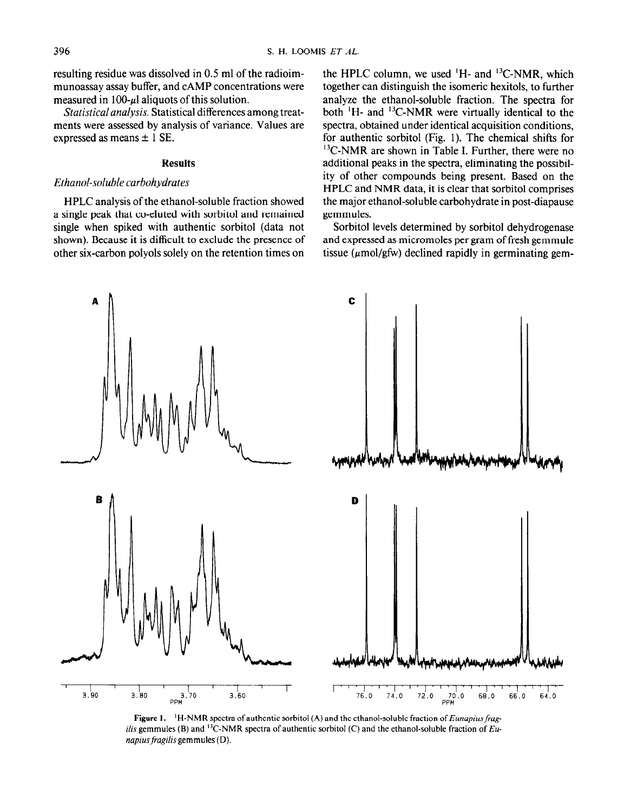resulting residue was dissolved in 0.5 ml of the radioimmunoassay assay buffer, and CAMP concentrations were measured in 100- $\mu$ l aliquots of this solution.

Statistical analysis. Statistical differences among treatments were assessed by analysis of variance. Values are expressed as means  $\pm$  1 SE.

## Results

## Ethanol-soluble carbohydrates

HPLC analysis of the ethanol-soluble fraction showed a single peak that co-eluted with sorbitol and remained single when spiked with authentic sorbitol (data not shown). Because it is difficult to exclude the presence of other six-carbon polyols solely on the retention times on the HPLC column, we used  $^1$ H- and  $^13$ C-NMR, which together can distinguish the isomeric hexitols, to further analyze the ethanol-soluble fraction. The spectra for both  ${}^{1}$ H- and  ${}^{13}$ C-NMR were virtually identical to the spectra, obtained under identical acquisition conditions, for authentic sorbitol (Fig. 1). The chemical shifts for <sup>13</sup>C-NMR are shown in Table I. Further, there were no additional peaks in the spectra, eliminating the possibility of other compounds being present. Based on the HPLC and NMR data, it is clear that sorbitol comprises the major ethanol-soluble carbohydrate in post-diapause gemmules.

Sorbitol levels determined by sorbitol dehydrogenase and expressed as micromoles per gram of fresh gemmule tissue  $(\mu \text{mol/gfw})$  declined rapidly in germinating gem-



**Figure 1.** TH-NMR spectra of authentic sorbitol (A) and the ethanol-soluble fraction of *Eunapius frag ilis* gemmules (B) and <sup>13</sup>C-NMR spectra of authentic sorbitol (C) and the ethanol-soluble fraction of *Eunapius fragilis* gemmules (D).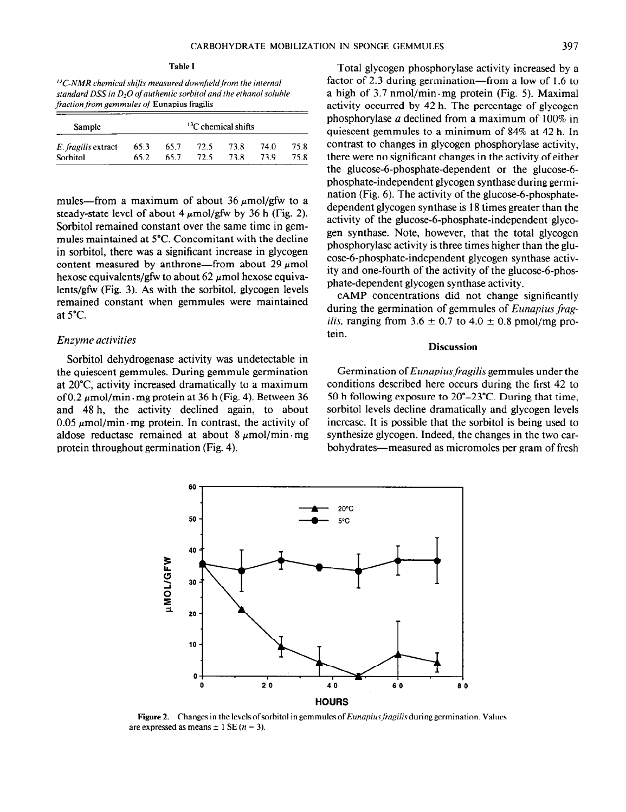$^{13}$ C-NMR chemical shifts measured downfield from the internal standard DSS in  $D_2O$  of authentic sorbitol and the ethanol soluble fraction from gemmules of Eunapius fragilis

| Sample<br>E. fragilis extract | ${}^{13}$ C chemical shifts |      |      |      |      |      |
|-------------------------------|-----------------------------|------|------|------|------|------|
|                               | 65.3                        | 65.7 | 72.5 | 73.8 | 74.0 | 75.8 |
| Sorbitol                      | 65.2                        | 65.7 | 72.5 | 73.8 | 73.9 | 75.8 |

mules—from a maximum of about 36  $\mu$ mol/gfw to a steady-state level of about 4  $\mu$ mol/gfw by 36 h (Fig. 2). Sorbitol remained constant over the same time in gemmules maintained at 5°C. Concomitant with the decline in sorbitol, there was a significant increase in glycogen content measured by anthrone—from about 29  $\mu$ mol hexose equivalents/gfw to about 62  $\mu$ mol hexose equivalents/gfw (Fig. 3). As with the sorbitol, glycogen levels remained constant when gemmules were maintained at 5°C.

#### Enzyme activities

Sorbitol dehydrogenase activity was undetectable in the quiescent gemmules. During gemmule germination at 20°C activity increased dramatically to a maximum of 0.2  $\mu$ mol/min  $\cdot$  mg protein at 36 h (Fig. 4). Between 36 and 48 h, the activity declined again, to about  $0.05 \mu$ mol/min·mg protein. In contrast, the activity of aldose reductase remained at about  $8 \mu$ mol/min. mg protein throughout germination (Fig. 4).

Total glycogen phosphorylase activity increased by a factor of 2.3 during germination—from a low of 1.6 to a high of  $3.7 \text{ nmol/min} \cdot \text{mg}$  protein (Fig. 5). Maximal activity occurred by 42 h. The percentage of glycogen phosphorylase a declined from a maximum of 100% in quiescent gemmules to a minimum of 84% at 42 h. In contrast to changes in glycogen phosphorylase activity, there were no significant changes in the activity of either the glucose-6-phosphate-dependent or the glucose-6 phosphate-independent glycogen synthase during germination (Fig.  $6$ ). The activity of the glucose-6-phosphatedependent glycogen synthase is 18 times greater than the activity of the glucose-6-phosphate-independent glycogen synthase. Note, however, that the total glycogen phosphorylase activity is three times higher than the glucose-6-phosphate-independent glycogen synthase activity and one-fourth of the activity of the glucose-6-phosphate-dependent glycogen synthase activity.

CAMP concentrations did not change significantly during the germination of gemmules of Eunapius frag*ilis,* ranging from  $3.6 \pm 0.7$  to  $4.0 \pm 0.8$  pmol/mg protein.

## Discussion

Germination of Eunapius fragilis gemmules under the conditions described here occurs during the first 42 to 50 h following exposure to 20°-23°C. During that time, sorbitol levels decline dramatically and glycogen levels increase. It is possible that the sorbitol is being used to synthesize glycogen. Indeed, the changes in the two carbohydrates—measured as micromoles per gram of fresh



Figure 2. Changes in the levels of sorbitol in gemmules of *Eunapius fragilis* during germination. Values are expressed as means  $\pm 1$  SE (*n* = 3).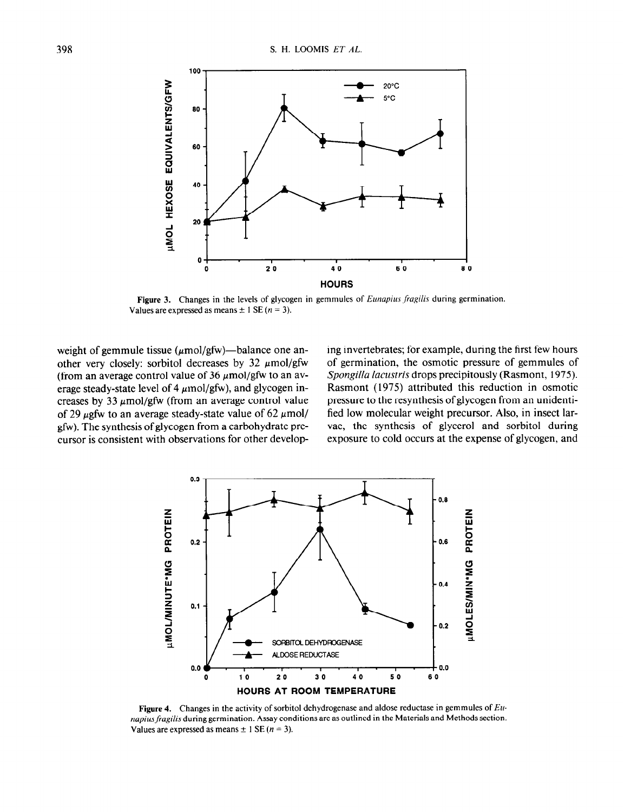

Figure 3. Changes in the levels of glycogen in gemmules of Eunapius fragilis during germination. Values are expressed as means  $\pm$  1 SE (n = 3).

weight of gemmule tissue ( $\mu$ mol/gfw)—balance one an- ing invertebrates; for example, during the first few hours

other very closely: sorbitol decreases by 32  $\mu$ mol/gfw of germination, the osmotic pressure of gemmules of (from an average control value of 36  $\mu$ mol/gfw to an av- Spongilla lacustris drops precipitously (Rasmont, 1975). erage steady-state level of 4  $\mu$ mol/gfw), and glycogen in-<br>Rasmont (1975) attributed this reduction in osmotic creases by 33  $\mu$ mol/gfw (from an average control value pressure to the resynthesis of glycogen from an unidentiof 29  $\mu$ gfw to an average steady-state value of 62  $\mu$ mol/ fied low molecular weight precursor. Also, in insect largfw). The synthesis of glycogen from a carbohydrate pre- vae, the synthesis of glycerol and sorbitol during cursor is consistent with observations for other develop- exposure to cold occurs at the expense of glycogen, and



**Figure 4.** Changes in the activity of sorbitor denyarogenase and aldose reductase in germinates of  $\mu$ *napius fragilis* during germination. Assay conditions are as outlined in the Materials and Methods section.<br>Values are expressed as means  $\pm 1$  SE (*n* = 3).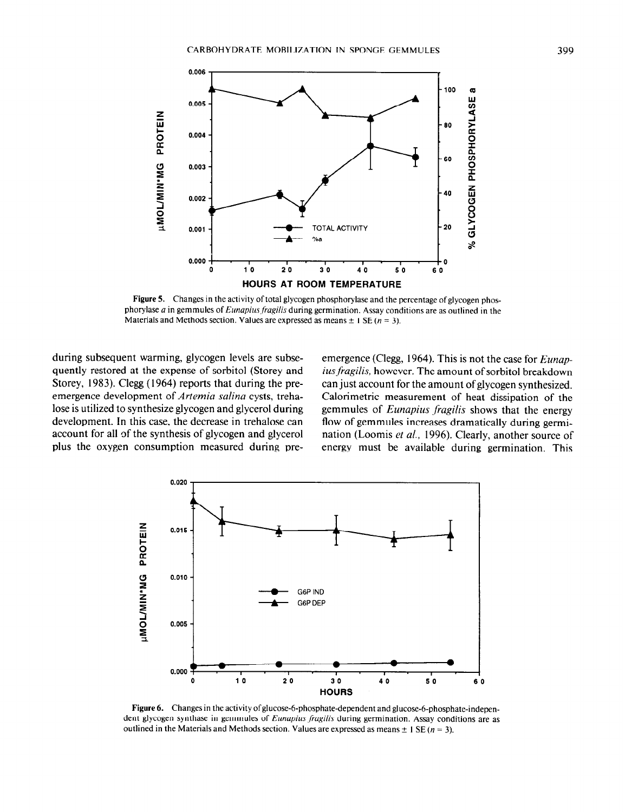

Figure 5. Changes in the activity of total glycogen phosphorylase and the percentage of glycogen phosphorylase  $a$  in gemmules of Eunapius fragilis during germination. Assay conditions are as outlined in the Materials and Methods section. Values are expressed as means  $\pm 1$  SE (n = 3).

during subsequent warming, glycogen levels are subse- emergence (Clegg, 1964). This is not the case for Eunap-

quently restored at the expense of sorbitol (Storey and ius fragilis, however. The amount of sorbitol breakdown Storey, 1983). Clegg (1964) reports that during the pre- can just account for the amount of glycogen synthesized. emergence development of Artemia salina cysts, treha-<br>Calorimetric measurement of heat dissipation of the lose is utilized to synthesize glycogen and glycerol during gemmules of *Eunapius fragilis* shows that the energy development. In this case, the decrease in trehalose can flow of gemmules increases dramatically during germiaccount for all of the synthesis of glycogen and glycerol nation (Loomis et al., 1996). Clearly, another source of plus the oxygen consumption measured during pre- energy must be available during germination. This



Figure 6. Changes in the activity of glucose-6-phosphate-dependent and glucose-6-phosphate-independent glycogen synthase in gemmules of *Eunapius fragilis* during germination. Assay conditions are as outlined in the Materials and Methods section. Values are expressed as means  $\pm 1$  SE (n = 3).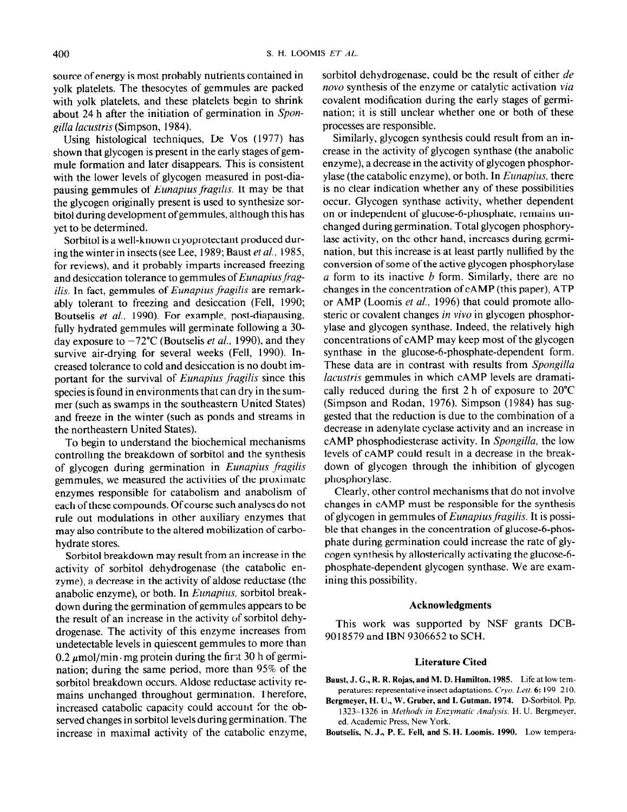source of energy is most probably nutrients contained in yolk platelets. The thesocytes of gemmules are packed with yolk platelets, and these platelets begin to shrink about 24 h after the initiation of germination in Spongilla lacustris (Simpson, 1984).

Using histological techniques, De Vos (1977) has shown that glycogen is present in the early stages of gemmule formation and later disappears. This is consistent with the lower levels of glycogen measured in post-diapausing gemmules of Eunapius fragilis. It may be that the glycogen originally present is used to synthesize sorbitol during development of gemmules, although this has yet to be determined.

Sorbitol is a well-known cryoprotectant produced during the winter in insects (see Lee, 1989; Baust et al., 1985, for reviews), and it probably imparts increased freezing and desiccation tolerance to gemmules of Eunapius fragilis. In fact, gemmules of Eunapius fragilis are remarkably tolerant to freezing and desiccation (Fell, 1990; Boutselis et al., 1990). For example, post-diapausing, fully hydrated gemmules will germinate following a 30 day exposure to  $-72^{\circ}$ C (Boutselis *et al.*, 1990), and they survive air-drying for several weeks (Fell, 1990). lncreased tolerance to cold and desiccation is no doubt important for the survival of Eunapius fragilis since this species is found in environments that can dry in the summer (such as swamps in the southeastern United States) and freeze in the winter (such as ponds and streams in the northeastern United States).

To begin to understand the biochemical mechanisms controlling the breakdown of sorbitol and the synthesis of glycogen during germination in Eunapius fragilis gemmules, we measured the activities of the proximate enzymes responsible for catabolism and anabolism of each of these compounds. Of course such analyses do not rule out modulations in other auxiliary enzymes that may also contribute to the altered mobilization of carbohydrate stores.

Sorbitol breakdown may result from an increase in the activity of sorbitol dehydrogenase (the catabolic enzyme), a decrease in the activity of aldose reductase (the anabolic enzyme), or both. In Eunapius, sorbitol breakdown during the germination of gemmules appears to be the result of an increase in the activity of sorbitol dehy- $\sigma$  and  $\sigma$  and  $\sigma$  are  $\sigma$  and  $\sigma$  activity of bottless activity underhast. The activity of this enzyme increases from  $\frac{0.2}{0.2}$  pmoleculation is even in quiescent germinates to more than  $\alpha$ ,  $\mu$  and  $\mu$  more protein during the m  $\alpha$  so it of setting nation; during the same period, more than 95% of the sorbitol breakdown occurs. Aldose reductase activity remains unchanged throughout germination. Therefore, mains unchanged imoughout germination. Therefore, increased calabolic capacity could account for the observed changes in sorbitol levels during germination. The increase in maximal activity of the catabolic enzyme, sorbitol dehydrogenase, could be the result of either de novo synthesis of the enzyme or catalytic activation via covalent modification during the early stages of germination; it is still unclear whether one or both of these processes are responsible.

Similarly, glycogen synthesis could result from an increase in the activity of glycogen synthase (the anabolic enzyme), a decrease in the activity of glycogen phosphorylase (the catabolic enzyme), or both. In Eunapius, there is no clear indication whether any of these possibilities occur. Glycogen synthase activity, whether dependent on or independent of glucose-6-phosphate, remains unchanged during germination. Total glycogen phosphorylase activity, on the other hand, increases during germination, but this increase is at least partly nullified by the conversion of some of the active glycogen phosphorylase  $a$  form to its inactive  $b$  form. Similarly, there are no changes in the concentration of CAMP (this paper), ATP or AMP (Loomis et al., 1996) that could promote allosteric or covalent changes in vivo in glycogen phosphorylase and glycogen synthase. Indeed, the relatively high concentrations of CAMP may keep most of the glycogen synthase in the glucose-6-phosphate-dependent form. These data are in contrast with results from Spongilla lacustris gemmules in which cAMP levels are dramatically reduced during the first 2 h of exposure to 20°C (Simpson and Rodan, 1976). Simpson ( 1984) has suggested that the reduction is due to the combination of a decrease in adenylate cyclase activity and an increase in CAMP phosphodiesterase activity. In Spongilla, the low levels of CAMP could result in a decrease in the breakdown of glycogen through the inhibition of glycogen phosphorylase.

Clearly, other control mechanisms that do not involve changes in CAMP must be responsible for the synthesis of glycogen in gemmules of Eunapius fragilis. It is possible that changes in the concentration of glucose-6-phosphate during germination could increase the rate of glycogen synthesis by allosterically activating the glucose-6 phosphate-dependent glycogen synthase. We are examining this possibility.

#### Acknowledgments

This work was supported by NSF grants DCB-90 18579 and IBN 9306652 to SCH.

#### Literature Cited

- Baust, J. G., R. R. Rojas, and M. D. Hamilton. 1985. Life at low temperatures: representative insect adaptations. Cryo. Lett. 6: 199-210.
- $B = \frac{1}{2}$  $\sum_{i=1}^{n}$ 1323-1326 in Methods in Enzymatic Analysis, H. U. Bergmeyer, ed. Academic Press, New York.
- Boutselis, N. J., P. E. Fell, and S. H. Loomis. 1990. Low tempera-